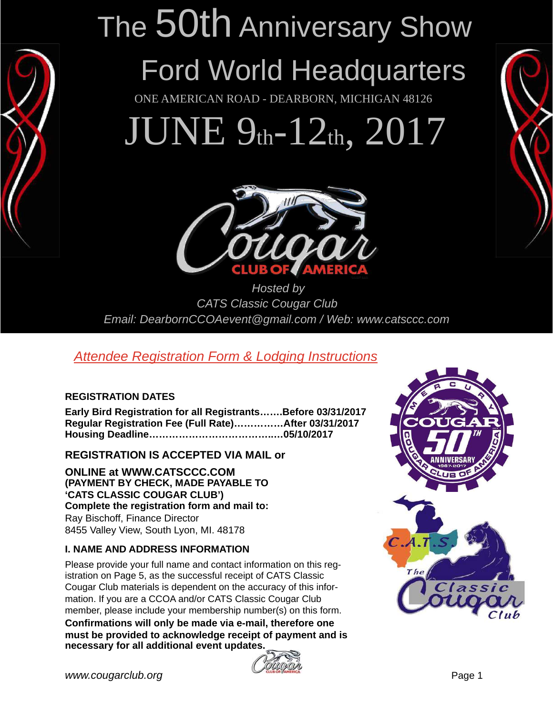

# The 50th Anniversary Show

## Ford World Headquarters

ONE AMERICAN ROAD - DEARBORN, MICHIGAN 48126

JUNE 9th-12th, 2017



Hosted by CATS Classic Cougar Club Email: DearbornCCOAevent@gmail.com / Web: www.catsccc.com

#### Attendee Registration Form & Lodging Instructions

#### **REGISTRATION DATES**

**Early Bird Registration for all Registrants…….Before 03/31/2017 Regular Registration Fee (Full Rate)……………After 03/31/2017 Housing Deadline………………………………..…05/10/2017** 

**REGISTRATION IS ACCEPTED VIA MAIL or** 

**ONLINE at WWW.CATSCCC.COM (PAYMENT BY CHECK, MADE PAYABLE TO 'CATS CLASSIC COUGAR CLUB') Complete the registration form and mail to:**  Ray Bischoff, Finance Director 8455 Valley View, South Lyon, MI. 48178

#### **I. NAME AND ADDRESS INFORMATION**

Please provide your full name and contact information on this registration on Page 5, as the successful receipt of CATS Classic Cougar Club materials is dependent on the accuracy of this information. If you are a CCOA and/or CATS Classic Cougar Club member, please include your membership number(s) on this form. **Confirmations will only be made via e-mail, therefore one must be provided to acknowledge receipt of payment and is necessary for all additional event updates.**



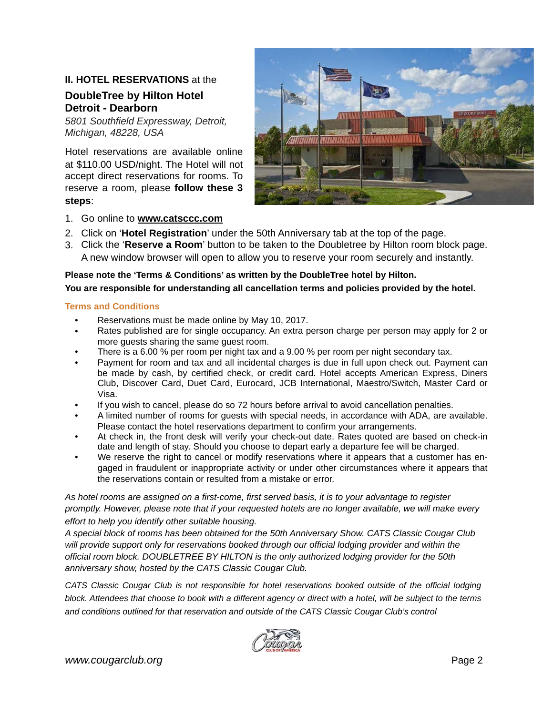#### **II. HOTEL RESERVATIONS** at the

#### **[DoubleTree by Hilton Hotel](https://secure3.hilton.com/en_US/dt/reservation/book.htm?execution=e1s1&_eventId=hotelHome&internalDeepLinking=true)  Detroit [- Dearborn](https://secure3.hilton.com/en_US/dt/reservation/book.htm?execution=e1s1&_eventId=hotelHome&internalDeepLinking=true)**

5801 Southfield Expressway, Detroit, Michigan, 48228, USA

Hotel reservations are available online at \$110.00 USD/night. The Hotel will not accept direct reservations for rooms. To reserve a room, please **follow these 3 steps**:



- 1. Go online to **[www.catsccc.com](http://www.catsccc.com)**
- 2. Click on '**Hotel Registration**' under the 50th Anniversary tab at the top of the page.
- 3. Click the '**Reserve a Room**' button to be taken to the Doubletree by Hilton room block page. A new window browser will open to allow you to reserve your room securely and instantly.

**Please note the 'Terms & Conditions' as written by the DoubleTree hotel by Hilton.** 

**You are responsible for understanding all cancellation terms and policies provided by the hotel.** 

#### **Terms and Conditions**

- Reservations must be made online by May 10, 2017.
- Rates published are for single occupancy. An extra person charge per person may apply for 2 or more guests sharing the same guest room.
- There is a 6.00 % per room per night tax and a 9.00 % per room per night secondary tax.
- Payment for room and tax and all incidental charges is due in full upon check out. Payment can be made by cash, by certified check, or credit card. Hotel accepts American Express, Diners Club, Discover Card, Duet Card, Eurocard, JCB International, Maestro/Switch, Master Card or Visa.
- If you wish to cancel, please do so 72 hours before arrival to avoid cancellation penalties.
- A limited number of rooms for guests with special needs, in accordance with ADA, are available. Please contact the hotel reservations department to confirm your arrangements.
- At check in, the front desk will verify your check-out date. Rates quoted are based on check-in date and length of stay. Should you choose to depart early a departure fee will be charged.
- We reserve the right to cancel or modify reservations where it appears that a customer has engaged in fraudulent or inappropriate activity or under other circumstances where it appears that the reservations contain or resulted from a mistake or error.

As hotel rooms are assigned on a first-come, first served basis, it is to your advantage to register promptly. However, please note that if your requested hotels are no longer available, we will make every effort to help you identify other suitable housing.

A special block of rooms has been obtained for the 50th Anniversary Show. CATS Classic Cougar Club will provide support only for reservations booked through our official lodging provider and within the official room block. DOUBLETREE BY HILTON is the only authorized lodging provider for the 50th anniversary show, hosted by the CATS Classic Cougar Club.

CATS Classic Cougar Club is not responsible for hotel reservations booked outside of the official lodging block. Attendees that choose to book with a different agency or direct with a hotel, will be subject to the terms and conditions outlined for that reservation and outside of the CATS Classic Cougar Club's control

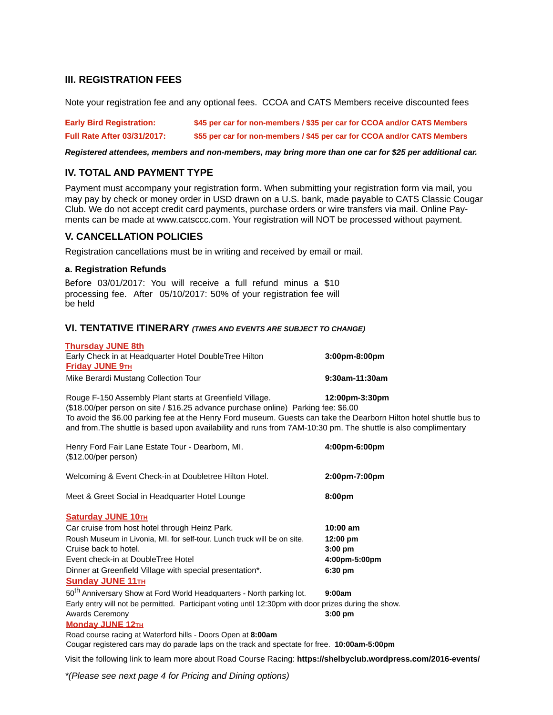#### **III. REGISTRATION FEES**

Note your registration fee and any optional fees. CCOA and CATS Members receive discounted fees

| <b>Early Bird Registration:</b>    | \$45 per car for non-members / \$35 per car for CCOA and/or CATS Members |
|------------------------------------|--------------------------------------------------------------------------|
| <b>Full Rate After 03/31/2017:</b> | \$55 per car for non-members / \$45 per car for CCOA and/or CATS Members |

**Registered attendees, members and non-members, may bring more than one car for \$25 per additional car.** 

#### **IV. TOTAL AND PAYMENT TYPE**

Payment must accompany your registration form. When submitting your registration form via mail, you may pay by check or money order in USD drawn on a U.S. bank, made payable to CATS Classic Cougar Club. We do not accept credit card payments, purchase orders or wire transfers via mail. Online Payments can be made at www.catsccc.com. Your registration will NOT be processed without payment.

#### **V. CANCELLATION POLICIES**

Registration cancellations must be in writing and received by email or mail.

#### **a. Registration Refunds**

Before 03/01/2017: You will receive a full refund minus a \$10 processing fee. After 05/10/2017: 50% of your registration fee will be held

#### **VI. TENTATIVE ITINERARY (TIMES AND EVENTS ARE SUBJECT TO CHANGE)**

| <b>Thursday JUNE 8th</b>                                 |                                   |
|----------------------------------------------------------|-----------------------------------|
| Early Check in at Headquarter Hotel DoubleTree Hilton    | $3:00 \text{pm} - 8:00 \text{pm}$ |
| <b>Friday JUNE 9TH</b>                                   |                                   |
| Mike Berardi Mustang Collection Tour                     | 9:30am-11:30am                    |
| Rouge F-150 Assembly Plant starts at Greenfield Village. | 12:00pm-3:30pm                    |
| (0.40, 0.0)                                              |                                   |

(\$18.00/per person on site / \$16.25 advance purchase online) Parking fee: \$6.00 To avoid the \$6.00 parking fee at the Henry Ford museum. Guests can take the Dearborn Hilton hotel shuttle bus to and from.The shuttle is based upon availability and runs from 7AM-10:30 pm. The shuttle is also complimentary

| Henry Ford Fair Lane Estate Tour - Dearborn, MI.<br>$($12.00/per$ person)                             | 4:00pm-6:00pm      |
|-------------------------------------------------------------------------------------------------------|--------------------|
| Welcoming & Event Check-in at Doubletree Hilton Hotel.                                                | 2:00pm-7:00pm      |
| Meet & Greet Social in Headquarter Hotel Lounge                                                       | 8:00pm             |
| <b>Saturday JUNE 10TH</b>                                                                             |                    |
| Car cruise from host hotel through Heinz Park.                                                        | 10:00 am           |
| Roush Museum in Livonia, MI. for self-tour. Lunch truck will be on site.                              | $12:00 \text{ pm}$ |
| Cruise back to hotel.                                                                                 | $3:00$ pm          |
| Event check-in at DoubleTree Hotel                                                                    | 4:00pm-5:00pm      |
| Dinner at Greenfield Village with special presentation*.                                              | $6:30$ pm          |
| <b>Sunday JUNE 11TH</b>                                                                               |                    |
| 50 <sup>th</sup> Anniversary Show at Ford World Headquarters - North parking lot.                     | 9:00am             |
| Early entry will not be permitted. Participant voting until 12:30pm with door prizes during the show. |                    |
| <b>Awards Ceremony</b>                                                                                | $3:00$ pm          |
| <b>Monday JUNE 12TH</b>                                                                               |                    |
| Road course racing at Waterford hills - Doors Open at 8:00am                                          |                    |
| Cougar registered cars may do parade laps on the track and spectate for free. 10:00am-5:00pm          |                    |

Visit the following link to learn more about Road Course Racing: **<https://shelbyclub.wordpress.com/2016-events/>**

\*(Please see next page 4 for Pricing and Dining options)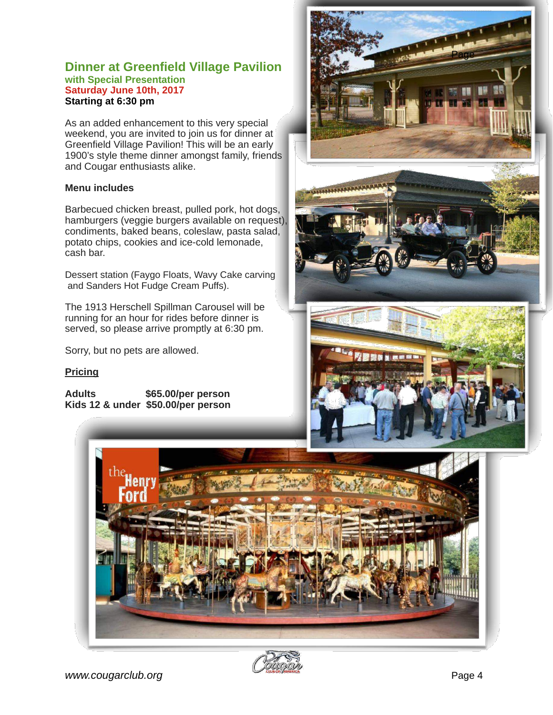#### **Dinner at Greenfield Village Pavilion with Special Presentation Saturday June 10th, 2017 Starting at 6:30 pm**

As an added enhancement to this very special weekend, you are invited to join us for dinner at Greenfield Village Pavilion! This will be an early 1900's style theme dinner amongst family, friends and Cougar enthusiasts alike.

#### **Menu includes**

Barbecued chicken breast, pulled pork, hot dogs, hamburgers (veggie burgers available on request), condiments, baked beans, coleslaw, pasta salad, potato chips, cookies and ice-cold lemonade, cash bar.

Dessert station (Faygo Floats, Wavy Cake carving and Sanders Hot Fudge Cream Puffs).

The 1913 Herschell Spillman Carousel will be running for an hour for rides before dinner is served, so please arrive promptly at 6:30 pm.

Sorry, but no pets are allowed.

#### **Pricing**

**Adults \$65.00/per person Kids 12 & under \$50.00/per person**









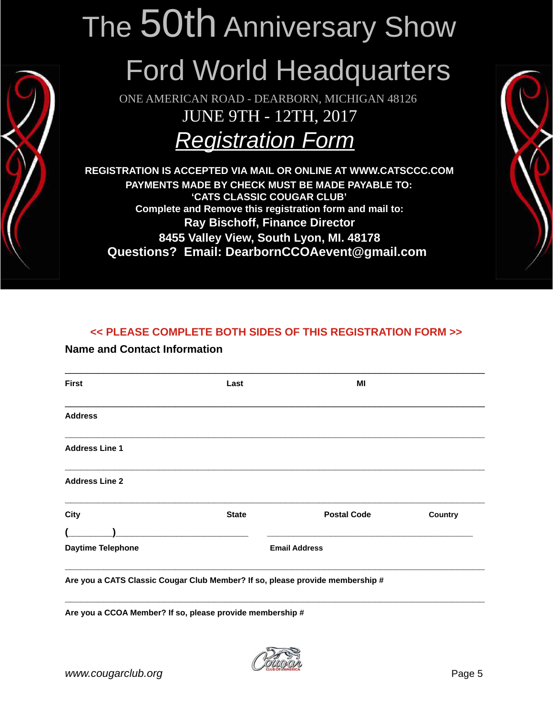## The 50th Anniversary Show

## Ford World Headquarters

ONE AMERICAN ROAD - DEARBORN, MICHIGAN 48126 JUNE 9TH - 12TH, 2017

### Registration Form

**REGISTRATION IS ACCEPTED VIA MAIL OR ONLINE AT WWW.CATSCCC.COM PAYMENTS MADE BY CHECK MUST BE MADE PAYABLE TO: 'CATS CLASSIC COUGAR CLUB' Complete and Remove this registration form and mail to: Ray Bischoff, Finance Director 8455 Valley View, South Lyon, MI. 48178 Questions? Email: DearbornCCOAevent@gmail.com** 



#### **<< PLEASE COMPLETE BOTH SIDES OF THIS REGISTRATION FORM >>**

#### **Name and Contact Information**

| <b>First</b>          | Last                                                                | MI                   |                |
|-----------------------|---------------------------------------------------------------------|----------------------|----------------|
| <b>Address</b>        |                                                                     |                      |                |
| <b>Address Line 1</b> |                                                                     |                      |                |
| <b>Address Line 2</b> |                                                                     |                      |                |
| <b>City</b>           | <b>State</b>                                                        | <b>Postal Code</b>   | <b>Country</b> |
|                       | <u> 1980 - Jan Barnett, martin de ferrer eta politikaria (h. 19</u> |                      |                |
|                       |                                                                     | <b>Email Address</b> |                |

**Are you a CCOA Member? If so, please provide membership #**